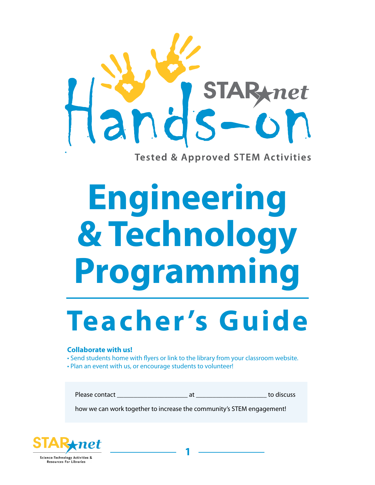

**Tested & Approved STEM Activities** 

# **Engineering & Technology Programming**

## **Teacher 's Guide**

#### **Collaborate with us!**

- Send students home with flyers or link to the library from your classroom website.
- Plan an event with us, or encourage students to volunteer!

Please contact and the set of the set of the set of the set of the set of the set of the set of the set of the set of the set of the set of the set of the set of the set of the set of the set of the set of the set of the s

how we can work together to increase the community's STEM engagement!

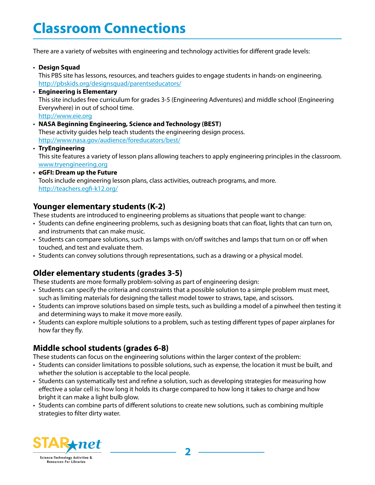### **Classroom Connections**

There are a variety of websites with engineering and technology activities for different grade levels:

• **Design Squad**

This PBS site has lessons, resources, and teachers guides to engage students in hands-on engineering. <http://pbskids.org/designsquad/parentseducators/>

- **Engineering is Elementary** This site includes free curriculum for grades 3-5 (Engineering Adventures) and middle school (Engineering Everywhere) in out of school time. <http://www.eie.org>
- **NASA Beginning Engineering, Science and Technology (BEST)** These activity guides help teach students the engineering design process. <http://www.nasa.gov/audience/foreducators/best/>
- **TryEngineering** This site features a variety of lesson plans allowing teachers to apply engineering principles in the classroom. <www.tryengineering.org>
- **eGFI: Dream up the Future** Tools include engineering lesson plans, class activities, outreach programs, and more. <http://teachers.egfi-k12.org/>

#### **Younger elementary students (K-2)**

These students are introduced to engineering problems as situations that people want to change:

- Students can define engineering problems, such as designing boats that can float, lights that can turn on, and instruments that can make music.
- Students can compare solutions, such as lamps with on/off switches and lamps that turn on or off when touched, and test and evaluate them.
- Students can convey solutions through representations, such as a drawing or a physical model.

#### **Older elementary students (grades 3-5)**

These students are more formally problem-solving as part of engineering design:

- Students can specify the criteria and constraints that a possible solution to a simple problem must meet, such as limiting materials for designing the tallest model tower to straws, tape, and scissors.
- Students can improve solutions based on simple tests, such as building a model of a pinwheel then testing it and determining ways to make it move more easily.
- Students can explore multiple solutions to a problem, such as testing different types of paper airplanes for how far they fly.

#### **Middle school students (grades 6-8)**

These students can focus on the engineering solutions within the larger context of the problem:

- Students can consider limitations to possible solutions, such as expense, the location it must be built, and whether the solution is acceptable to the local people.
- Students can systematically test and refine a solution, such as developing strategies for measuring how effective a solar cell is: how long it holds its charge compared to how long it takes to charge and how bright it can make a light bulb glow.
- Students can combine parts of different solutions to create new solutions, such as combining multiple strategies to filter dirty water.

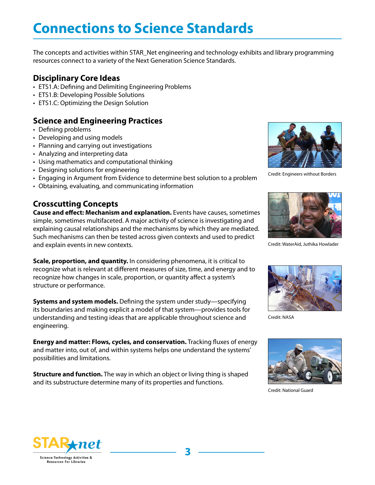## **Connections to Science Standards**

The concepts and activities within STAR\_Net engineering and technology exhibits and library programming resources connect to a variety of the Next Generation Science Standards.

#### **Disciplinary Core Ideas**

- ETS1.A: Defining and Delimiting Engineering Problems
- ETS1.B: Developing Possible Solutions
- ETS1.C: Optimizing the Design Solution

#### **Science and Engineering Practices**

- Defining problems
- Developing and using models
- Planning and carrying out investigations
- Analyzing and interpreting data
- Using mathematics and computational thinking
- Designing solutions for engineering
- Engaging in Argument from Evidence to determine best solution to a problem
- Obtaining, evaluating, and communicating information

#### **Crosscutting Concepts**

**Cause and effect: Mechanism and explanation.** Events have causes, sometimes simple, sometimes multifaceted. A major activity of science is investigating and explaining causal relationships and the mechanisms by which they are mediated. Such mechanisms can then be tested across given contexts and used to predict and explain events in new contexts.

**Scale, proportion, and quantity.** In considering phenomena, it is critical to recognize what is relevant at different measures of size, time, and energy and to recognize how changes in scale, proportion, or quantity affect a system's structure or performance.

**Systems and system models.** Defining the system under study—specifying its boundaries and making explicit a model of that system—provides tools for understanding and testing ideas that are applicable throughout science and engineering.

**Energy and matter: Flows, cycles, and conservation.** Tracking fluxes of energy and matter into, out of, and within systems helps one understand the systems' possibilities and limitations.

**Structure and function.** The way in which an object or living thing is shaped and its substructure determine many of its properties and functions.



Credit: Engineers without Borders



Credit: WaterAid, Juthika Howlader



Credit: NASA



Credit: National Guard